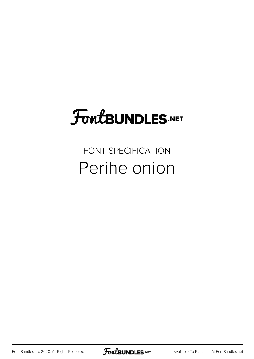# **FoutBUNDLES.NET**

#### FONT SPECIFICATION Perihelonion

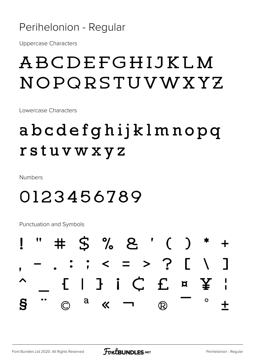#### Perihelonion - Regular

**Uppercase Characters** 

### ABCDEFGHIJKLM NOPORSTUVWXYZ

Lowercase Characters

### abcdefghijklmnopq rstuvwxyz

**Numbers** 

#### 0123456789

**Punctuation and Symbols** 

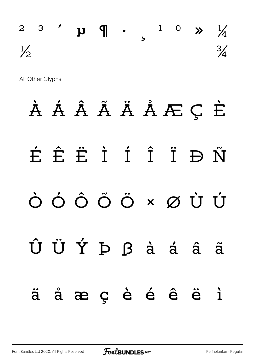## $2$  3  $'$   $\mu$   $\eta$  .  $1$  0  $\gg$   $\frac{1}{4}$  $\frac{1}{2}$   $\frac{3}{4}$

All Other Glyphs

# À Á Â Ã Ä Å Æ Ç È É Ê Ë Ì Í Î Ï Ð Ñ Ò Ó Ô Õ Ö × Ø Ù Ú Û Ü Ý Þ ß à á â ã ä å æ ç è é ê ë ì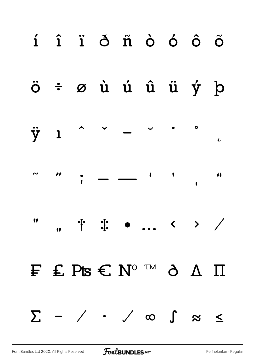